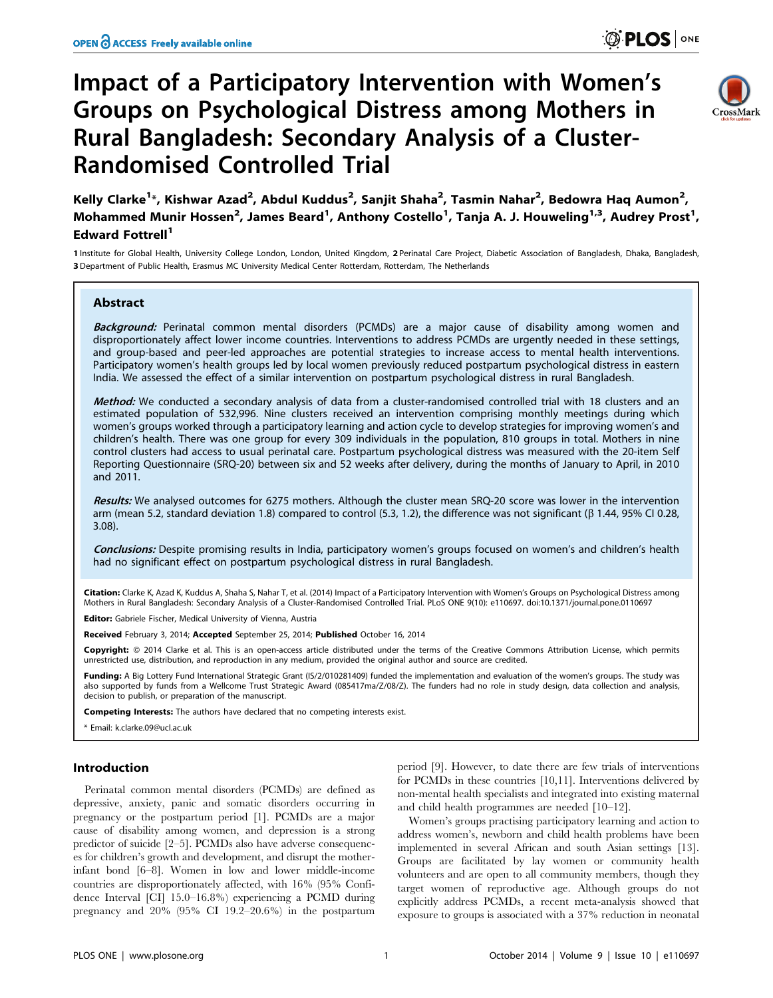# Impact of a Participatory Intervention with Women's Groups on Psychological Distress among Mothers in Rural Bangladesh: Secondary Analysis of a Cluster-Randomised Controlled Trial



Kelly Clarke<sup>1</sup>\*, Kishwar Azad<sup>2</sup>, Abdul Kuddus<sup>2</sup>, Sanjit Shaha<sup>2</sup>, Tasmin Nahar<sup>2</sup>, Bedowra Haq Aumon<sup>2</sup>, Mohammed Munir Hossen<sup>2</sup>, James Beard<sup>1</sup>, Anthony Costello<sup>1</sup>, Tanja A. J. Houweling<sup>1,3</sup>, Audrey Prost<sup>1</sup>, Edward Fottrell<sup>1</sup>

1 Institute for Global Health, University College London, London, United Kingdom, 2 Perinatal Care Project, Diabetic Association of Bangladesh, Dhaka, Bangladesh, 3 Department of Public Health, Erasmus MC University Medical Center Rotterdam, Rotterdam, The Netherlands

# Abstract

Background: Perinatal common mental disorders (PCMDs) are a major cause of disability among women and disproportionately affect lower income countries. Interventions to address PCMDs are urgently needed in these settings, and group-based and peer-led approaches are potential strategies to increase access to mental health interventions. Participatory women's health groups led by local women previously reduced postpartum psychological distress in eastern India. We assessed the effect of a similar intervention on postpartum psychological distress in rural Bangladesh.

Method: We conducted a secondary analysis of data from a cluster-randomised controlled trial with 18 clusters and an estimated population of 532,996. Nine clusters received an intervention comprising monthly meetings during which women's groups worked through a participatory learning and action cycle to develop strategies for improving women's and children's health. There was one group for every 309 individuals in the population, 810 groups in total. Mothers in nine control clusters had access to usual perinatal care. Postpartum psychological distress was measured with the 20-item Self Reporting Questionnaire (SRQ-20) between six and 52 weeks after delivery, during the months of January to April, in 2010 and 2011.

Results: We analysed outcomes for 6275 mothers. Although the cluster mean SRQ-20 score was lower in the intervention arm (mean 5.2, standard deviation 1.8) compared to control (5.3, 1.2), the difference was not significant ( $\beta$  1.44, 95% CI 0.28, 3.08).

Conclusions: Despite promising results in India, participatory women's groups focused on women's and children's health had no significant effect on postpartum psychological distress in rural Bangladesh.

Citation: Clarke K, Azad K, Kuddus A, Shaha S, Nahar T, et al. (2014) Impact of a Participatory Intervention with Women's Groups on Psychological Distress among Mothers in Rural Bangladesh: Secondary Analysis of a Cluster-Randomised Controlled Trial. PLoS ONE 9(10): e110697. doi:10.1371/journal.pone.0110697

Editor: Gabriele Fischer, Medical University of Vienna, Austria

Received February 3, 2014; Accepted September 25, 2014; Published October 16, 2014

Copyright: © 2014 Clarke et al. This is an open-access article distributed under the terms of the [Creative Commons Attribution License](http://creativecommons.org/licenses/by/4.0/), which permits unrestricted use, distribution, and reproduction in any medium, provided the original author and source are credited.

Funding: A Big Lottery Fund International Strategic Grant (IS/2/010281409) funded the implementation and evaluation of the women's groups. The study was also supported by funds from a Wellcome Trust Strategic Award (085417ma/Z/08/Z). The funders had no role in study design, data collection and analysis, decision to publish, or preparation of the manuscript.

Competing Interests: The authors have declared that no competing interests exist.

\* Email: k.clarke.09@ucl.ac.uk

### Introduction

Perinatal common mental disorders (PCMDs) are defined as depressive, anxiety, panic and somatic disorders occurring in pregnancy or the postpartum period [1]. PCMDs are a major cause of disability among women, and depression is a strong predictor of suicide [2–5]. PCMDs also have adverse consequences for children's growth and development, and disrupt the motherinfant bond [6–8]. Women in low and lower middle-income countries are disproportionately affected, with 16% (95% Confidence Interval [CI] 15.0–16.8%) experiencing a PCMD during pregnancy and 20% (95% CI 19.2–20.6%) in the postpartum

period [9]. However, to date there are few trials of interventions for PCMDs in these countries [10,11]. Interventions delivered by non-mental health specialists and integrated into existing maternal and child health programmes are needed [10–12].

Women's groups practising participatory learning and action to address women's, newborn and child health problems have been implemented in several African and south Asian settings [13]. Groups are facilitated by lay women or community health volunteers and are open to all community members, though they target women of reproductive age. Although groups do not explicitly address PCMDs, a recent meta-analysis showed that exposure to groups is associated with a 37% reduction in neonatal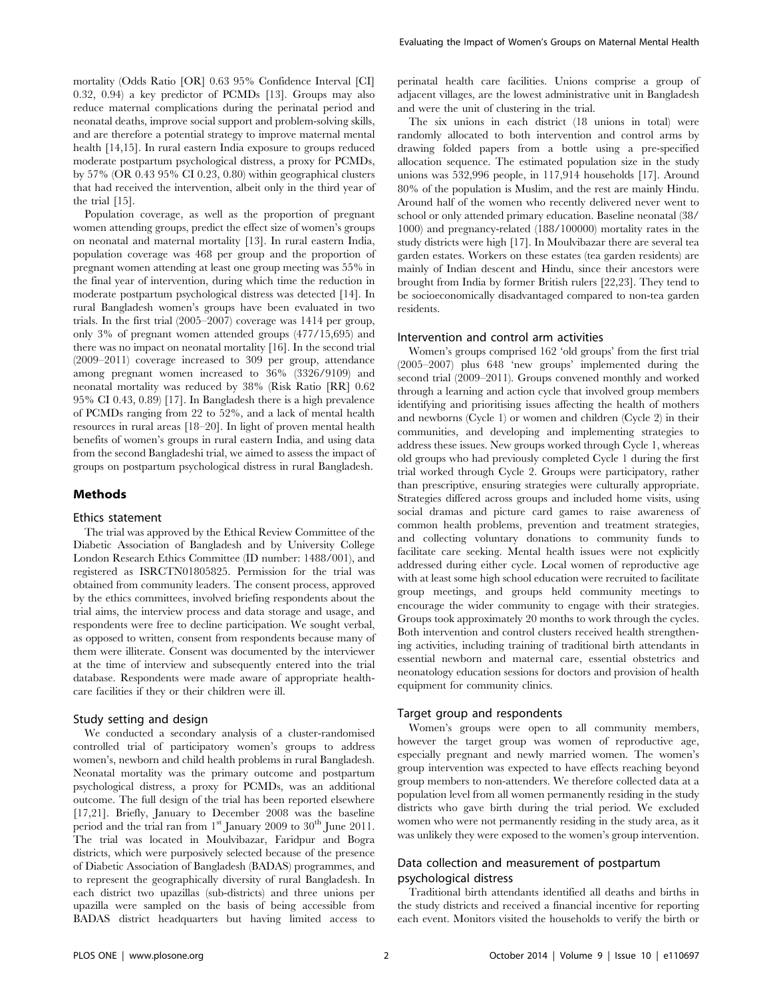mortality (Odds Ratio [OR] 0.63 95% Confidence Interval [CI] 0.32, 0.94) a key predictor of PCMDs [13]. Groups may also reduce maternal complications during the perinatal period and neonatal deaths, improve social support and problem-solving skills, and are therefore a potential strategy to improve maternal mental health [14,15]. In rural eastern India exposure to groups reduced moderate postpartum psychological distress, a proxy for PCMDs, by 57% (OR 0.43 95% CI 0.23, 0.80) within geographical clusters that had received the intervention, albeit only in the third year of the trial [15].

Population coverage, as well as the proportion of pregnant women attending groups, predict the effect size of women's groups on neonatal and maternal mortality [13]. In rural eastern India, population coverage was 468 per group and the proportion of pregnant women attending at least one group meeting was 55% in the final year of intervention, during which time the reduction in moderate postpartum psychological distress was detected [14]. In rural Bangladesh women's groups have been evaluated in two trials. In the first trial (2005–2007) coverage was 1414 per group, only 3% of pregnant women attended groups (477/15,695) and there was no impact on neonatal mortality [16]. In the second trial (2009–2011) coverage increased to 309 per group, attendance among pregnant women increased to 36% (3326/9109) and neonatal mortality was reduced by 38% (Risk Ratio [RR] 0.62 95% CI 0.43, 0.89) [17]. In Bangladesh there is a high prevalence of PCMDs ranging from 22 to 52%, and a lack of mental health resources in rural areas [18–20]. In light of proven mental health benefits of women's groups in rural eastern India, and using data from the second Bangladeshi trial, we aimed to assess the impact of groups on postpartum psychological distress in rural Bangladesh.

#### Methods

#### Ethics statement

The trial was approved by the Ethical Review Committee of the Diabetic Association of Bangladesh and by University College London Research Ethics Committee (ID number: 1488/001), and registered as ISRCTN01805825. Permission for the trial was obtained from community leaders. The consent process, approved by the ethics committees, involved briefing respondents about the trial aims, the interview process and data storage and usage, and respondents were free to decline participation. We sought verbal, as opposed to written, consent from respondents because many of them were illiterate. Consent was documented by the interviewer at the time of interview and subsequently entered into the trial database. Respondents were made aware of appropriate healthcare facilities if they or their children were ill.

#### Study setting and design

We conducted a secondary analysis of a cluster-randomised controlled trial of participatory women's groups to address women's, newborn and child health problems in rural Bangladesh. Neonatal mortality was the primary outcome and postpartum psychological distress, a proxy for PCMDs, was an additional outcome. The full design of the trial has been reported elsewhere [17,21]. Briefly, January to December 2008 was the baseline period and the trial ran from  $1<sup>st</sup>$  January 2009 to  $30<sup>th</sup>$  June 2011. The trial was located in Moulvibazar, Faridpur and Bogra districts, which were purposively selected because of the presence of Diabetic Association of Bangladesh (BADAS) programmes, and to represent the geographically diversity of rural Bangladesh. In each district two upazillas (sub-districts) and three unions per upazilla were sampled on the basis of being accessible from BADAS district headquarters but having limited access to perinatal health care facilities. Unions comprise a group of adjacent villages, are the lowest administrative unit in Bangladesh and were the unit of clustering in the trial.

The six unions in each district (18 unions in total) were randomly allocated to both intervention and control arms by drawing folded papers from a bottle using a pre-specified allocation sequence. The estimated population size in the study unions was 532,996 people, in 117,914 households [17]. Around 80% of the population is Muslim, and the rest are mainly Hindu. Around half of the women who recently delivered never went to school or only attended primary education. Baseline neonatal (38/ 1000) and pregnancy-related (188/100000) mortality rates in the study districts were high [17]. In Moulvibazar there are several tea garden estates. Workers on these estates (tea garden residents) are mainly of Indian descent and Hindu, since their ancestors were brought from India by former British rulers [22,23]. They tend to be socioeconomically disadvantaged compared to non-tea garden residents.

# Intervention and control arm activities

Women's groups comprised 162 'old groups' from the first trial (2005–2007) plus 648 'new groups' implemented during the second trial (2009–2011). Groups convened monthly and worked through a learning and action cycle that involved group members identifying and prioritising issues affecting the health of mothers and newborns (Cycle 1) or women and children (Cycle 2) in their communities, and developing and implementing strategies to address these issues. New groups worked through Cycle 1, whereas old groups who had previously completed Cycle 1 during the first trial worked through Cycle 2. Groups were participatory, rather than prescriptive, ensuring strategies were culturally appropriate. Strategies differed across groups and included home visits, using social dramas and picture card games to raise awareness of common health problems, prevention and treatment strategies, and collecting voluntary donations to community funds to facilitate care seeking. Mental health issues were not explicitly addressed during either cycle. Local women of reproductive age with at least some high school education were recruited to facilitate group meetings, and groups held community meetings to encourage the wider community to engage with their strategies. Groups took approximately 20 months to work through the cycles. Both intervention and control clusters received health strengthening activities, including training of traditional birth attendants in essential newborn and maternal care, essential obstetrics and neonatology education sessions for doctors and provision of health equipment for community clinics.

# Target group and respondents

Women's groups were open to all community members, however the target group was women of reproductive age, especially pregnant and newly married women. The women's group intervention was expected to have effects reaching beyond group members to non-attenders. We therefore collected data at a population level from all women permanently residing in the study districts who gave birth during the trial period. We excluded women who were not permanently residing in the study area, as it was unlikely they were exposed to the women's group intervention.

# Data collection and measurement of postpartum psychological distress

Traditional birth attendants identified all deaths and births in the study districts and received a financial incentive for reporting each event. Monitors visited the households to verify the birth or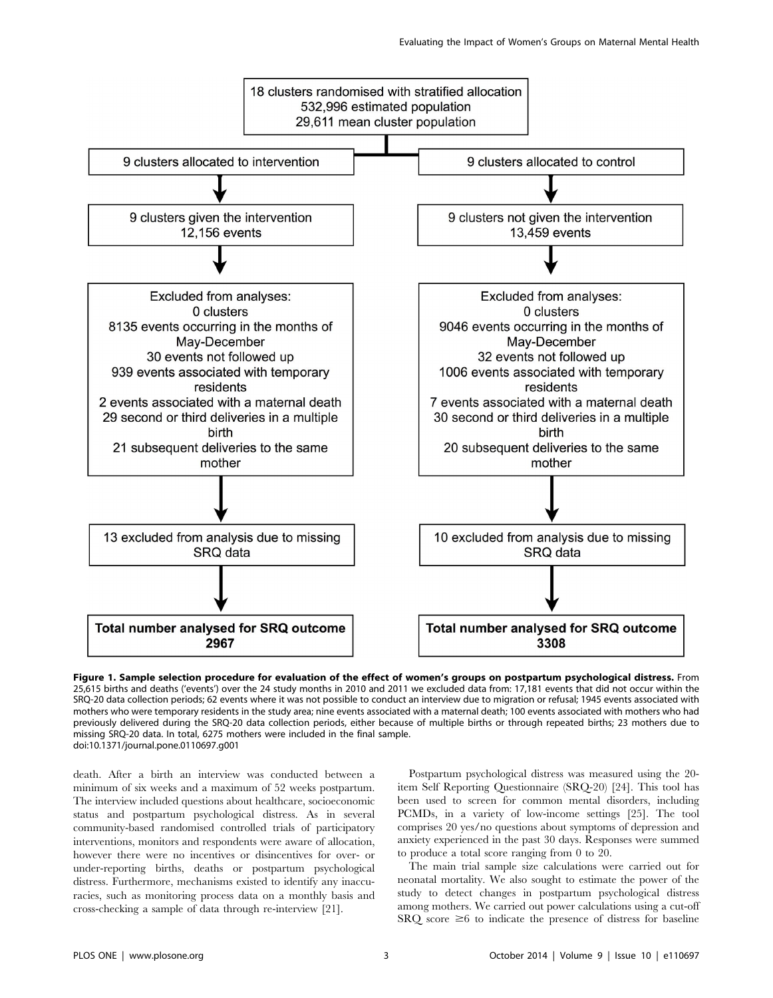

Figure 1. Sample selection procedure for evaluation of the effect of women's groups on postpartum psychological distress. From 25,615 births and deaths ('events') over the 24 study months in 2010 and 2011 we excluded data from: 17,181 events that did not occur within the SRQ-20 data collection periods; 62 events where it was not possible to conduct an interview due to migration or refusal; 1945 events associated with mothers who were temporary residents in the study area; nine events associated with a maternal death; 100 events associated with mothers who had previously delivered during the SRQ-20 data collection periods, either because of multiple births or through repeated births; 23 mothers due to missing SRQ-20 data. In total, 6275 mothers were included in the final sample. doi:10.1371/journal.pone.0110697.g001

death. After a birth an interview was conducted between a minimum of six weeks and a maximum of 52 weeks postpartum. The interview included questions about healthcare, socioeconomic status and postpartum psychological distress. As in several community-based randomised controlled trials of participatory interventions, monitors and respondents were aware of allocation, however there were no incentives or disincentives for over- or under-reporting births, deaths or postpartum psychological distress. Furthermore, mechanisms existed to identify any inaccuracies, such as monitoring process data on a monthly basis and cross-checking a sample of data through re-interview [21].

Postpartum psychological distress was measured using the 20 item Self Reporting Questionnaire (SRQ-20) [24]. This tool has been used to screen for common mental disorders, including PCMDs, in a variety of low-income settings [25]. The tool comprises 20 yes/no questions about symptoms of depression and anxiety experienced in the past 30 days. Responses were summed to produce a total score ranging from 0 to 20.

The main trial sample size calculations were carried out for neonatal mortality. We also sought to estimate the power of the study to detect changes in postpartum psychological distress among mothers. We carried out power calculations using a cut-off  $SRQ$  score  $\geq 6$  to indicate the presence of distress for baseline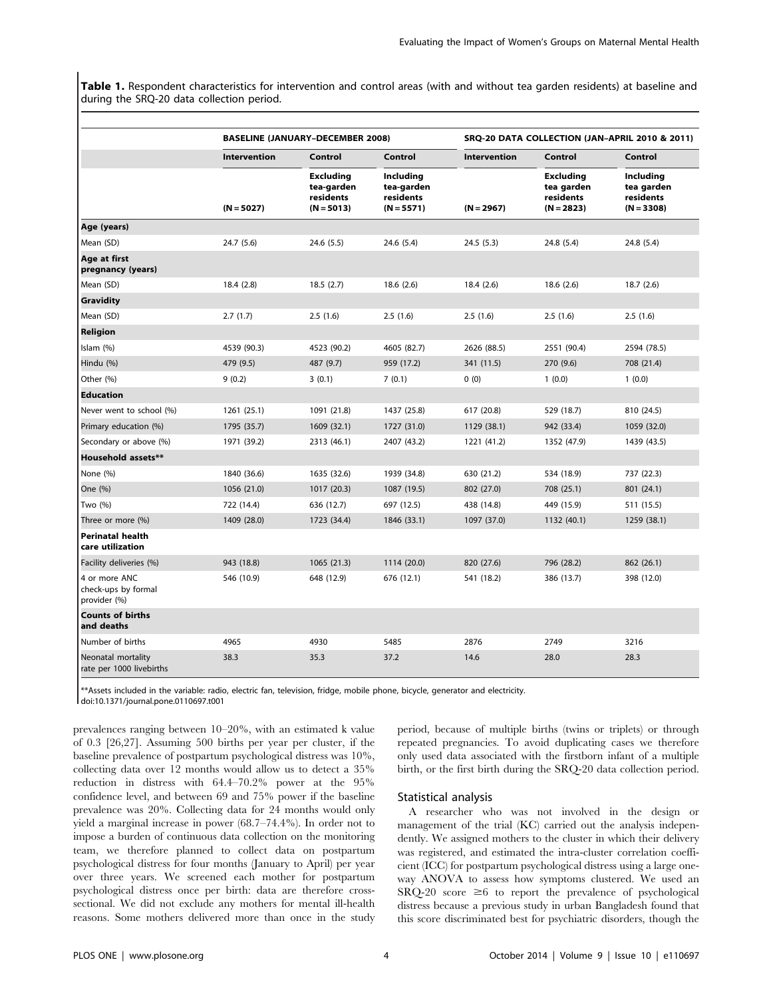Table 1. Respondent characteristics for intervention and control areas (with and without tea garden residents) at baseline and during the SRQ-20 data collection period.

|                                                      | <b>BASELINE (JANUARY-DECEMBER 2008)</b> |                                                             | SRQ-20 DATA COLLECTION (JAN-APRIL 2010 & 2011)       |                     |                                                             |                                                             |
|------------------------------------------------------|-----------------------------------------|-------------------------------------------------------------|------------------------------------------------------|---------------------|-------------------------------------------------------------|-------------------------------------------------------------|
|                                                      | <b>Intervention</b>                     | Control                                                     | Control                                              | <b>Intervention</b> | Control                                                     | Control                                                     |
|                                                      | $(N = 5027)$                            | <b>Excluding</b><br>tea-garden<br>residents<br>$(N = 5013)$ | Including<br>tea-garden<br>residents<br>$(N = 5571)$ | $(N = 2967)$        | <b>Excluding</b><br>tea garden<br>residents<br>$(N = 2823)$ | <b>Including</b><br>tea garden<br>residents<br>$(N = 3308)$ |
| Age (years)                                          |                                         |                                                             |                                                      |                     |                                                             |                                                             |
| Mean (SD)                                            | 24.7 (5.6)                              | 24.6(5.5)                                                   | 24.6 (5.4)                                           | 24.5(5.3)           | 24.8 (5.4)                                                  | 24.8 (5.4)                                                  |
| Age at first<br>pregnancy (years)                    |                                         |                                                             |                                                      |                     |                                                             |                                                             |
| Mean (SD)                                            | 18.4(2.8)                               | 18.5(2.7)                                                   | 18.6(2.6)                                            | 18.4(2.6)           | 18.6(2.6)                                                   | 18.7(2.6)                                                   |
| Gravidity                                            |                                         |                                                             |                                                      |                     |                                                             |                                                             |
| Mean (SD)                                            | 2.7(1.7)                                | 2.5(1.6)                                                    | 2.5(1.6)                                             | 2.5(1.6)            | 2.5(1.6)                                                    | 2.5(1.6)                                                    |
| Religion                                             |                                         |                                                             |                                                      |                     |                                                             |                                                             |
| Islam (%)                                            | 4539 (90.3)                             | 4523 (90.2)                                                 | 4605 (82.7)                                          | 2626 (88.5)         | 2551 (90.4)                                                 | 2594 (78.5)                                                 |
| Hindu (%)                                            | 479 (9.5)                               | 487 (9.7)                                                   | 959 (17.2)                                           | 341 (11.5)          | 270 (9.6)                                                   | 708 (21.4)                                                  |
| Other (%)                                            | 9(0.2)                                  | 3(0.1)                                                      | 7(0.1)                                               | 0(0)                | 1(0.0)                                                      | 1(0.0)                                                      |
| <b>Education</b>                                     |                                         |                                                             |                                                      |                     |                                                             |                                                             |
| Never went to school (%)                             | 1261 (25.1)                             | 1091 (21.8)                                                 | 1437 (25.8)                                          | 617 (20.8)          | 529 (18.7)                                                  | 810 (24.5)                                                  |
| Primary education (%)                                | 1795 (35.7)                             | 1609 (32.1)                                                 | 1727 (31.0)                                          | 1129 (38.1)         | 942 (33.4)                                                  | 1059 (32.0)                                                 |
| Secondary or above (%)                               | 1971 (39.2)                             | 2313 (46.1)                                                 | 2407 (43.2)                                          | 1221 (41.2)         | 1352 (47.9)                                                 | 1439 (43.5)                                                 |
| Household assets**                                   |                                         |                                                             |                                                      |                     |                                                             |                                                             |
| None (%)                                             | 1840 (36.6)                             | 1635 (32.6)                                                 | 1939 (34.8)                                          | 630 (21.2)          | 534 (18.9)                                                  | 737 (22.3)                                                  |
| One (%)                                              | 1056 (21.0)                             | 1017 (20.3)                                                 | 1087 (19.5)                                          | 802 (27.0)          | 708 (25.1)                                                  | 801 (24.1)                                                  |
| Two (%)                                              | 722 (14.4)                              | 636 (12.7)                                                  | 697 (12.5)                                           | 438 (14.8)          | 449 (15.9)                                                  | 511 (15.5)                                                  |
| Three or more (%)                                    | 1409 (28.0)                             | 1723 (34.4)                                                 | 1846 (33.1)                                          | 1097 (37.0)         | 1132 (40.1)                                                 | 1259 (38.1)                                                 |
| <b>Perinatal health</b><br>care utilization          |                                         |                                                             |                                                      |                     |                                                             |                                                             |
| Facility deliveries (%)                              | 943 (18.8)                              | 1065 (21.3)                                                 | 1114 (20.0)                                          | 820 (27.6)          | 796 (28.2)                                                  | 862 (26.1)                                                  |
| 4 or more ANC<br>check-ups by formal<br>provider (%) | 546 (10.9)                              | 648 (12.9)                                                  | 676 (12.1)                                           | 541 (18.2)          | 386 (13.7)                                                  | 398 (12.0)                                                  |
| <b>Counts of births</b><br>and deaths                |                                         |                                                             |                                                      |                     |                                                             |                                                             |
| Number of births                                     | 4965                                    | 4930                                                        | 5485                                                 | 2876                | 2749                                                        | 3216                                                        |
| Neonatal mortality<br>rate per 1000 livebirths       | 38.3                                    | 35.3                                                        | 37.2                                                 | 14.6                | 28.0                                                        | 28.3                                                        |

\*\*Assets included in the variable: radio, electric fan, television, fridge, mobile phone, bicycle, generator and electricity.

doi:10.1371/journal.pone.0110697.t001

prevalences ranging between 10–20%, with an estimated k value of 0.3 [26,27]. Assuming 500 births per year per cluster, if the baseline prevalence of postpartum psychological distress was 10%, collecting data over 12 months would allow us to detect a 35% reduction in distress with 64.4–70.2% power at the 95% confidence level, and between 69 and 75% power if the baseline prevalence was 20%. Collecting data for 24 months would only yield a marginal increase in power (68.7–74.4%). In order not to impose a burden of continuous data collection on the monitoring team, we therefore planned to collect data on postpartum psychological distress for four months (January to April) per year over three years. We screened each mother for postpartum psychological distress once per birth: data are therefore crosssectional. We did not exclude any mothers for mental ill-health reasons. Some mothers delivered more than once in the study period, because of multiple births (twins or triplets) or through repeated pregnancies. To avoid duplicating cases we therefore only used data associated with the firstborn infant of a multiple birth, or the first birth during the SRQ-20 data collection period.

# Statistical analysis

A researcher who was not involved in the design or management of the trial (KC) carried out the analysis independently. We assigned mothers to the cluster in which their delivery was registered, and estimated the intra-cluster correlation coefficient (ICC) for postpartum psychological distress using a large oneway ANOVA to assess how symptoms clustered. We used an  $SRQ-20$  score  $\geq 6$  to report the prevalence of psychological distress because a previous study in urban Bangladesh found that this score discriminated best for psychiatric disorders, though the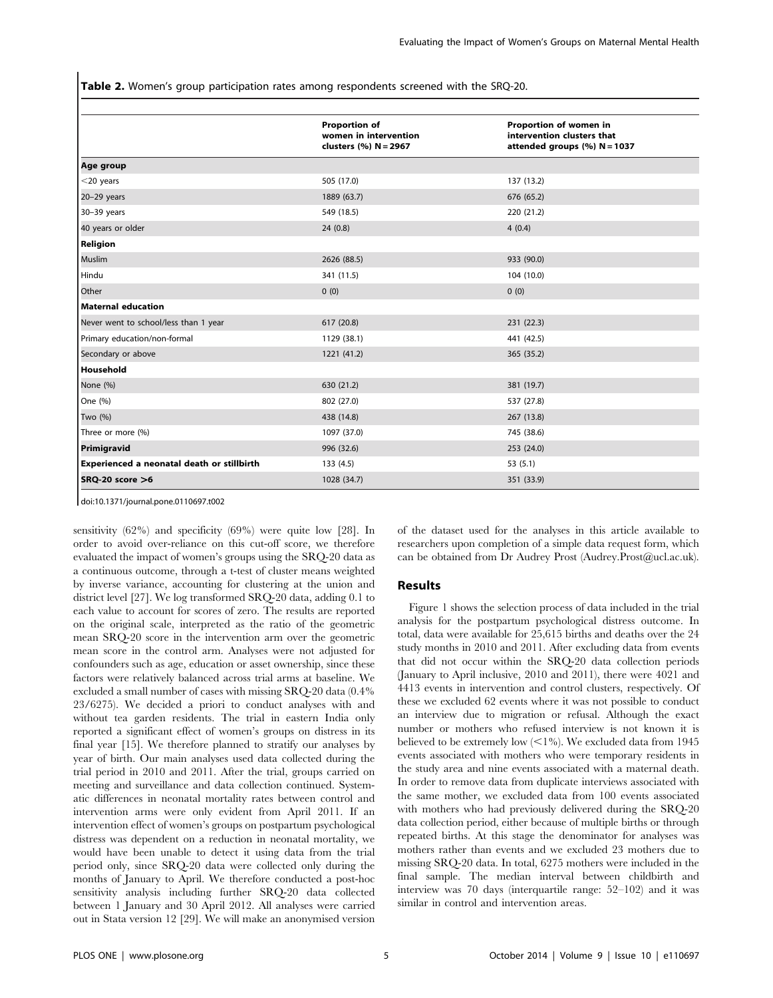Table 2. Women's group participation rates among respondents screened with the SRQ-20.

|                                            | <b>Proportion of</b><br>women in intervention<br>clusters (%) N = 2967 | Proportion of women in<br>intervention clusters that<br>attended groups (%) N = 1037 |
|--------------------------------------------|------------------------------------------------------------------------|--------------------------------------------------------------------------------------|
| Age group                                  |                                                                        |                                                                                      |
| $<$ 20 years                               | 505 (17.0)                                                             | 137 (13.2)                                                                           |
| 20-29 years                                | 1889 (63.7)                                                            | 676 (65.2)                                                                           |
| 30-39 years                                | 549 (18.5)                                                             | 220 (21.2)                                                                           |
| 40 years or older                          | 24(0.8)                                                                | 4(0.4)                                                                               |
| Religion                                   |                                                                        |                                                                                      |
| Muslim                                     | 2626 (88.5)                                                            | 933 (90.0)                                                                           |
| Hindu                                      | 341 (11.5)                                                             | 104 (10.0)                                                                           |
| Other                                      | 0(0)                                                                   | 0(0)                                                                                 |
| Maternal education                         |                                                                        |                                                                                      |
| Never went to school/less than 1 year      | 617 (20.8)                                                             | 231(22.3)                                                                            |
| Primary education/non-formal               | 1129 (38.1)                                                            | 441 (42.5)                                                                           |
| Secondary or above                         | 1221 (41.2)                                                            | 365 (35.2)                                                                           |
| Household                                  |                                                                        |                                                                                      |
| None (%)                                   | 630 (21.2)                                                             | 381 (19.7)                                                                           |
| One (%)                                    | 802 (27.0)                                                             | 537 (27.8)                                                                           |
| Two (%)                                    | 438 (14.8)                                                             | 267 (13.8)                                                                           |
| Three or more (%)                          | 1097 (37.0)                                                            | 745 (38.6)                                                                           |
| Primigravid                                | 996 (32.6)                                                             | 253 (24.0)                                                                           |
| Experienced a neonatal death or stillbirth | 133 (4.5)                                                              | 53(5.1)                                                                              |
| $SRQ-20$ score $>6$                        | 1028 (34.7)                                                            | 351 (33.9)                                                                           |

doi:10.1371/journal.pone.0110697.t002

sensitivity (62%) and specificity (69%) were quite low [28]. In order to avoid over-reliance on this cut-off score, we therefore evaluated the impact of women's groups using the SRQ-20 data as a continuous outcome, through a t-test of cluster means weighted by inverse variance, accounting for clustering at the union and district level [27]. We log transformed SRQ-20 data, adding 0.1 to each value to account for scores of zero. The results are reported on the original scale, interpreted as the ratio of the geometric mean SRQ-20 score in the intervention arm over the geometric mean score in the control arm. Analyses were not adjusted for confounders such as age, education or asset ownership, since these factors were relatively balanced across trial arms at baseline. We excluded a small number of cases with missing SRQ-20 data (0.4% 23/6275). We decided a priori to conduct analyses with and without tea garden residents. The trial in eastern India only reported a significant effect of women's groups on distress in its final year [15]. We therefore planned to stratify our analyses by year of birth. Our main analyses used data collected during the trial period in 2010 and 2011. After the trial, groups carried on meeting and surveillance and data collection continued. Systematic differences in neonatal mortality rates between control and intervention arms were only evident from April 2011. If an intervention effect of women's groups on postpartum psychological distress was dependent on a reduction in neonatal mortality, we would have been unable to detect it using data from the trial period only, since SRQ-20 data were collected only during the months of January to April. We therefore conducted a post-hoc sensitivity analysis including further SRQ-20 data collected between 1 January and 30 April 2012. All analyses were carried out in Stata version 12 [29]. We will make an anonymised version of the dataset used for the analyses in this article available to researchers upon completion of a simple data request form, which can be obtained from Dr Audrey Prost [\(Audrey.Prost@ucl.ac.uk\)](Audrey.Prost@ucl.ac.uk).

# Results

Figure 1 shows the selection process of data included in the trial analysis for the postpartum psychological distress outcome. In total, data were available for 25,615 births and deaths over the 24 study months in 2010 and 2011. After excluding data from events that did not occur within the SRQ-20 data collection periods (January to April inclusive, 2010 and 2011), there were 4021 and 4413 events in intervention and control clusters, respectively. Of these we excluded 62 events where it was not possible to conduct an interview due to migration or refusal. Although the exact number or mothers who refused interview is not known it is believed to be extremely low  $(<1%$ ). We excluded data from 1945 events associated with mothers who were temporary residents in the study area and nine events associated with a maternal death. In order to remove data from duplicate interviews associated with the same mother, we excluded data from 100 events associated with mothers who had previously delivered during the SRQ-20 data collection period, either because of multiple births or through repeated births. At this stage the denominator for analyses was mothers rather than events and we excluded 23 mothers due to missing SRQ-20 data. In total, 6275 mothers were included in the final sample. The median interval between childbirth and interview was 70 days (interquartile range: 52–102) and it was similar in control and intervention areas.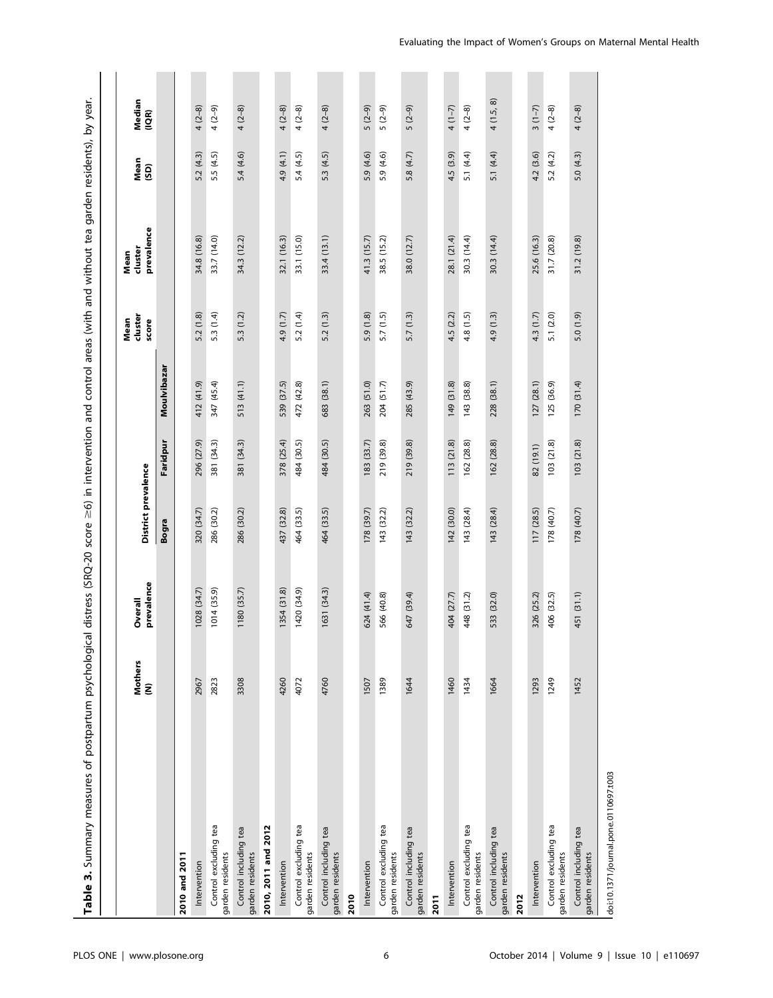| veal.                                                                                                         |  |
|---------------------------------------------------------------------------------------------------------------|--|
|                                                                                                               |  |
|                                                                                                               |  |
|                                                                                                               |  |
|                                                                                                               |  |
|                                                                                                               |  |
|                                                                                                               |  |
|                                                                                                               |  |
|                                                                                                               |  |
|                                                                                                               |  |
|                                                                                                               |  |
|                                                                                                               |  |
|                                                                                                               |  |
|                                                                                                               |  |
|                                                                                                               |  |
|                                                                                                               |  |
|                                                                                                               |  |
| istress (SRQ-20 score $\geq$ 6) in intervention and control areas (with and without tea garden residents), by |  |
|                                                                                                               |  |
|                                                                                                               |  |
|                                                                                                               |  |
|                                                                                                               |  |
|                                                                                                               |  |
| えっこくこく                                                                                                        |  |
| 3                                                                                                             |  |
|                                                                                                               |  |
|                                                                                                               |  |
| í                                                                                                             |  |
|                                                                                                               |  |
|                                                                                                               |  |
|                                                                                                               |  |
|                                                                                                               |  |
| i<br>Santa Caraca                                                                                             |  |
|                                                                                                               |  |
|                                                                                                               |  |
|                                                                                                               |  |

|                                           | <b>Mothers</b><br>ξ | prevalence<br>Overall | District prevalence |            |             | duster<br>Mean<br>score | prevalence<br>cluster<br>Mean | Mean<br>(SD) | Median<br>(IQR) |
|-------------------------------------------|---------------------|-----------------------|---------------------|------------|-------------|-------------------------|-------------------------------|--------------|-----------------|
|                                           |                     |                       | Bogra               | Faridpur   | Moulvibazar |                         |                               |              |                 |
| 2010 and 2011                             |                     |                       |                     |            |             |                         |                               |              |                 |
| Intervention                              | 2967                | 1028 (34.7)           | 320 (34.7)          | 296 (27.9) | 412 (41.9)  | 5.2 (1.8)               | 34.8 (16.8)                   | 5.2(4.3)     | $4(2-8)$        |
| Control excluding tea<br>garden residents | 2823                | 1014 (35.9)           | 286 (30.2)          | 381 (34.3) | 347 (45.4)  | 5.3 (1.4)               | 33.7 (14.0)                   | 5.5 (4.5)    | $4(2-9)$        |
| Control including tea<br>garden residents | 3308                | 1180 (35.7)           | 286 (30.2)          | 381 (34.3) | 513 (41.1)  | 5.3 (1.2)               | 34.3 (12.2)                   | 5.4(4.6)     | $4(2-8)$        |
| 2010, 2011 and 2012                       |                     |                       |                     |            |             |                         |                               |              |                 |
| Intervention                              | 4260                | 1354 (31.8)           | 437 (32.8)          | 378 (25.4) | 539 (37.5)  | 4.9 (1.7)               | 32.1 (16.3)                   | 4.9 (4.1)    | $4(2-8)$        |
| Control excluding tea<br>garden residents | 4072                | 1420 (34.9)           | 464 (33.5)          | 484 (30.5) | 472 (42.8)  | 5.2 (1.4)               | 33.1 (15.0)                   | 5.4(4.5)     | $4(2-8)$        |
| Control including tea<br>garden residents | 4760                | 1631 (34.3)           | 464 (33.5)          | 484 (30.5) | 683 (38.1)  | 5.2(1.3)                | 33.4 (13.1)                   | 5.3 (4.5)    | $4(2-8)$        |
| 2010                                      |                     |                       |                     |            |             |                         |                               |              |                 |
| Intervention                              | 1507                | 624 (41.4)            | 178 (39.7)          | 183 (33.7) | 263 (51.0)  | 5.9 (1.8)               | 41.3 (15.7)                   | 5.9 (4.6)    | $5(2-9)$        |
| Control excluding tea<br>garden residents | 1389                | 566 (40.8)            | 143 (32.2)          | 219 (39.8) | 204 (51.7)  | 5.7(1.5)                | 38.5 (15.2)                   | 5.9 (4.6)    | $5(2-9)$        |
| Control including tea<br>garden residents | 1644                | 647 (39.4)            | 143 (32.2)          | 219 (39.8) | 285 (43.9)  | 5.7(1.3)                | 38.0 (12.7)                   | 5.8 (4.7)    | $5(2-9)$        |
| 2011                                      |                     |                       |                     |            |             |                         |                               |              |                 |
| Intervention                              | 1460                | 404 (27.7)            | 142 (30.0)          | 113 (21.8) | 149 (31.8)  | 4.5 (2.2)               | 28.1 (21.4)                   | 4.5 (3.9)    | $4(1-7)$        |
| Control excluding tea<br>garden residents | 1434                | 448 (31.2)            | 143 (28.4)          | 162 (28.8) | 143 (38.8)  | 4.8 (1.5)               | 30.3 (14.4)                   | 5.1 $(4.4)$  | $4(2-8)$        |
| Control including tea<br>garden residents | 1664                | 533 (32.0)            | 143 (28.4)          | 162 (28.8) | 228 (38.1)  | 4.9 (1.3)               | 30.3 (14.4)                   | 5.1 (4.4)    | 4(1.5, 8)       |
| 2012                                      |                     |                       |                     |            |             |                         |                               |              |                 |
| Intervention                              | 1293                | 326 (25.2)            | 117 (28.5)          | 82 (19.1)  | 127(28.1)   | 4.3 (1.7)               | 25.6 (16.3)                   | 4.2 (3.6)    | $3(1-7)$        |
| Control excluding tea<br>garden residents | 1249                | 406 (32.5)            | 178 (40.7)          | 103(21.8)  | 125 (36.9)  | 5.1 (2.0)               | 31.7 (20.8)                   | 5.2(4.2)     | $4(2-8)$        |
| Control including tea<br>garden residents | 1452                | 451 (31.1)            | 178 (40.7)          | 103(21.8)  | 170(31.4)   | 5.0 (1.9)               | 31.2 (19.8)                   | 5.0(4.3)     | $4(2-8)$        |
|                                           |                     |                       |                     |            |             |                         |                               |              |                 |

doi:10.1371/journal.pone.0110697.t003 doi:10.1371/journal.pone.0110697.t003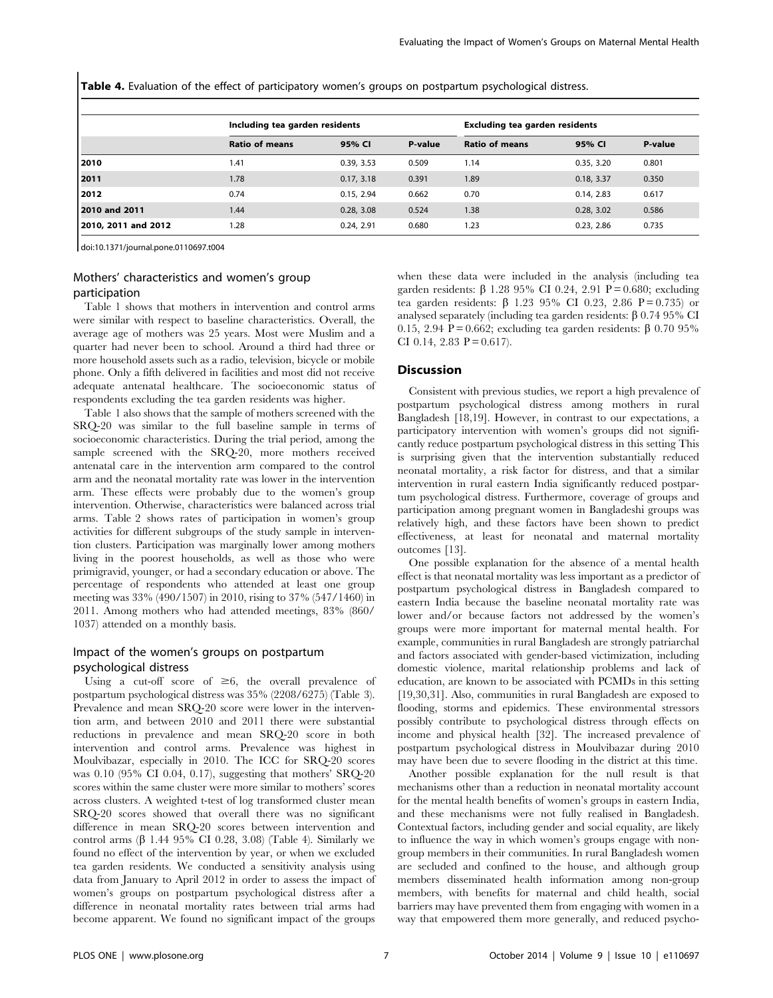Table 4. Evaluation of the effect of participatory women's groups on postpartum psychological distress.

|                     | Including tea garden residents |            |         | <b>Excluding tea garden residents</b> |            |         |
|---------------------|--------------------------------|------------|---------|---------------------------------------|------------|---------|
|                     | <b>Ratio of means</b>          | 95% CI     | P-value | <b>Ratio of means</b>                 | 95% CI     | P-value |
| 2010                | 1.41                           | 0.39, 3.53 | 0.509   | 1.14                                  | 0.35, 3.20 | 0.801   |
| 2011                | 1.78                           | 0.17, 3.18 | 0.391   | 1.89                                  | 0.18, 3.37 | 0.350   |
| 2012                | 0.74                           | 0.15, 2.94 | 0.662   | 0.70                                  | 0.14, 2.83 | 0.617   |
| 2010 and 2011       | 1.44                           | 0.28.3.08  | 0.524   | 1.38                                  | 0.28, 3.02 | 0.586   |
| 2010, 2011 and 2012 | 1.28                           | 0.24, 2.91 | 0.680   | 1.23                                  | 0.23, 2.86 | 0.735   |

doi:10.1371/journal.pone.0110697.t004

# Mothers' characteristics and women's group participation

Table 1 shows that mothers in intervention and control arms were similar with respect to baseline characteristics. Overall, the average age of mothers was 25 years. Most were Muslim and a quarter had never been to school. Around a third had three or more household assets such as a radio, television, bicycle or mobile phone. Only a fifth delivered in facilities and most did not receive adequate antenatal healthcare. The socioeconomic status of respondents excluding the tea garden residents was higher.

Table 1 also shows that the sample of mothers screened with the SRQ-20 was similar to the full baseline sample in terms of socioeconomic characteristics. During the trial period, among the sample screened with the SRQ-20, more mothers received antenatal care in the intervention arm compared to the control arm and the neonatal mortality rate was lower in the intervention arm. These effects were probably due to the women's group intervention. Otherwise, characteristics were balanced across trial arms. Table 2 shows rates of participation in women's group activities for different subgroups of the study sample in intervention clusters. Participation was marginally lower among mothers living in the poorest households, as well as those who were primigravid, younger, or had a secondary education or above. The percentage of respondents who attended at least one group meeting was 33% (490/1507) in 2010, rising to 37% (547/1460) in 2011. Among mothers who had attended meetings, 83% (860/ 1037) attended on a monthly basis.

# Impact of the women's groups on postpartum psychological distress

Using a cut-off score of  $\geq 6$ , the overall prevalence of postpartum psychological distress was 35% (2208/6275) (Table 3). Prevalence and mean SRQ-20 score were lower in the intervention arm, and between 2010 and 2011 there were substantial reductions in prevalence and mean SRQ-20 score in both intervention and control arms. Prevalence was highest in Moulvibazar, especially in 2010. The ICC for SRQ-20 scores was 0.10 (95% CI 0.04, 0.17), suggesting that mothers' SRQ-20 scores within the same cluster were more similar to mothers' scores across clusters. A weighted t-test of log transformed cluster mean SRQ-20 scores showed that overall there was no significant difference in mean SRQ-20 scores between intervention and control arms  $(\beta$  1.44 95% CI 0.28, 3.08) (Table 4). Similarly we found no effect of the intervention by year, or when we excluded tea garden residents. We conducted a sensitivity analysis using data from January to April 2012 in order to assess the impact of women's groups on postpartum psychological distress after a difference in neonatal mortality rates between trial arms had become apparent. We found no significant impact of the groups when these data were included in the analysis (including tea garden residents:  $\beta$  1.28 95% CI 0.24, 2.91 P = 0.680; excluding tea garden residents:  $\beta$  1.23 95% CI 0.23, 2.86 P = 0.735) or analysed separately (including tea garden residents:  $\beta$  0.74 95% CI 0.15, 2.94 P = 0.662; excluding tea garden residents:  $\beta$  0.70 95% CI 0.14, 2.83  $P = 0.617$ .

### Discussion

Consistent with previous studies, we report a high prevalence of postpartum psychological distress among mothers in rural Bangladesh [18,19]. However, in contrast to our expectations, a participatory intervention with women's groups did not significantly reduce postpartum psychological distress in this setting This is surprising given that the intervention substantially reduced neonatal mortality, a risk factor for distress, and that a similar intervention in rural eastern India significantly reduced postpartum psychological distress. Furthermore, coverage of groups and participation among pregnant women in Bangladeshi groups was relatively high, and these factors have been shown to predict effectiveness, at least for neonatal and maternal mortality outcomes [13].

One possible explanation for the absence of a mental health effect is that neonatal mortality was less important as a predictor of postpartum psychological distress in Bangladesh compared to eastern India because the baseline neonatal mortality rate was lower and/or because factors not addressed by the women's groups were more important for maternal mental health. For example, communities in rural Bangladesh are strongly patriarchal and factors associated with gender-based victimization, including domestic violence, marital relationship problems and lack of education, are known to be associated with PCMDs in this setting [19,30,31]. Also, communities in rural Bangladesh are exposed to flooding, storms and epidemics. These environmental stressors possibly contribute to psychological distress through effects on income and physical health [32]. The increased prevalence of postpartum psychological distress in Moulvibazar during 2010 may have been due to severe flooding in the district at this time.

Another possible explanation for the null result is that mechanisms other than a reduction in neonatal mortality account for the mental health benefits of women's groups in eastern India, and these mechanisms were not fully realised in Bangladesh. Contextual factors, including gender and social equality, are likely to influence the way in which women's groups engage with nongroup members in their communities. In rural Bangladesh women are secluded and confined to the house, and although group members disseminated health information among non-group members, with benefits for maternal and child health, social barriers may have prevented them from engaging with women in a way that empowered them more generally, and reduced psycho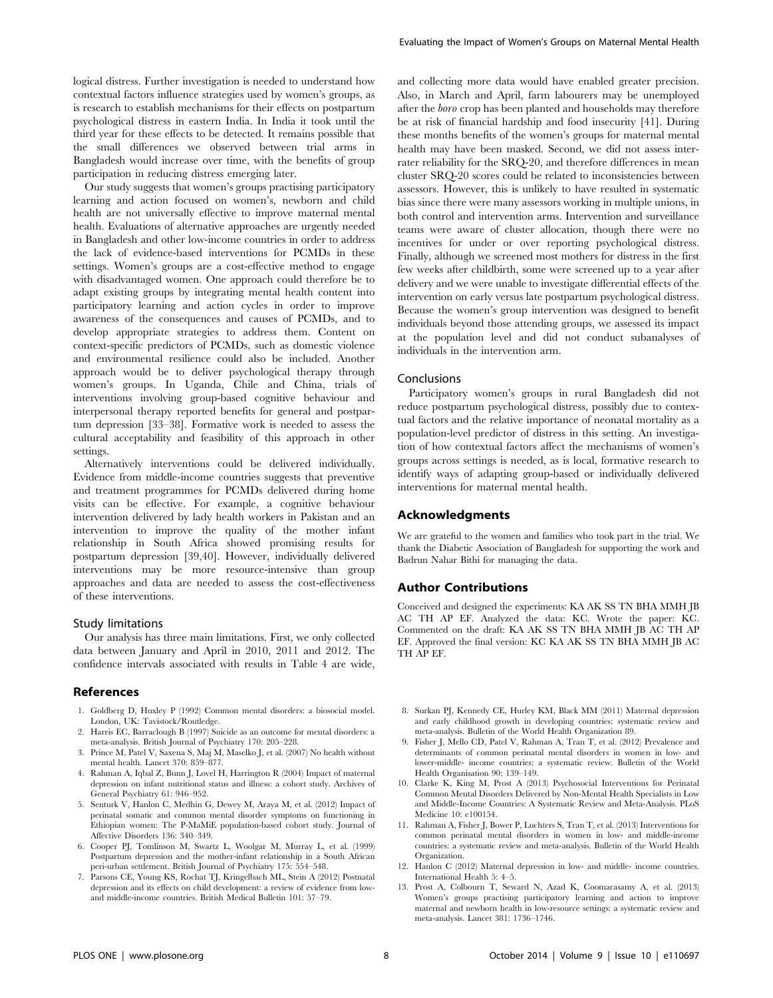logical distress. Further investigation is needed to understand how contextual factors influence strategies used by women's groups, as is research to establish mechanisms for their effects on postpartum psychological distress in eastern India. In India it took until the third year for these effects to be detected. It remains possible that the small differences we observed between trial arms in Bangladesh would increase over time, with the benefits of group participation in reducing distress emerging later.

Our study suggests that women's groups practising participatory learning and action focused on women's, newborn and child health are not universally effective to improve maternal mental health. Evaluations of alternative approaches are urgently needed in Bangladesh and other low-income countries in order to address the lack of evidence-based interventions for PCMDs in these settings. Women's groups are a cost-effective method to engage with disadvantaged women. One approach could therefore be to adapt existing groups by integrating mental health content into participatory learning and action cycles in order to improve awareness of the consequences and causes of PCMDs, and to develop appropriate strategies to address them. Content on context-specific predictors of PCMDs, such as domestic violence and environmental resilience could also be included. Another approach would be to deliver psychological therapy through women's groups. In Uganda, Chile and China, trials of interventions involving group-based cognitive behaviour and interpersonal therapy reported benefits for general and postpartum depression [33–38]. Formative work is needed to assess the cultural acceptability and feasibility of this approach in other settings.

Alternatively interventions could be delivered individually. Evidence from middle-income countries suggests that preventive and treatment programmes for PCMDs delivered during home visits can be effective. For example, a cognitive behaviour intervention delivered by lady health workers in Pakistan and an intervention to improve the quality of the mother infant relationship in South Africa showed promising results for postpartum depression [39,40]. However, individually delivered interventions may be more resource-intensive than group approaches and data are needed to assess the cost-effectiveness of these interventions.

#### Study limitations

Our analysis has three main limitations. First, we only collected data between January and April in 2010, 2011 and 2012. The confidence intervals associated with results in Table 4 are wide,

#### References

- 1. Goldberg D, Huxley P (1992) Common mental disorders: a biosocial model. London, UK: Tavistock/Routledge.
- 2. Harris EC, Barraclough B (1997) Suicide as an outcome for mental disorders: a meta-analysis. British Journal of Psychiatry 170: 205–228.
- 3. Prince M, Patel V, Saxena S, Maj M, Maselko J, et al. (2007) No health without mental health. Lancet 370: 859–877.
- 4. Rahman A, Iqbal Z, Bunn J, Lovel H, Harrington R (2004) Impact of maternal depression on infant nutritional status and illness: a cohort study. Archives of General Psychiatry 61: 946–952.
- 5. Senturk V, Hanlon C, Medhin G, Dewey M, Araya M, et al. (2012) Impact of perinatal somatic and common mental disorder symptoms on functioning in Ethiopian women: The P-MaMiE population-based cohort study. Journal of Affective Disorders 136: 340–349.
- 6. Cooper PJ, Tomlinson M, Swartz L, Woolgar M, Murray L, et al. (1999) Postpartum depression and the mother-infant relationship in a South African peri-urban settlement. British Journal of Psychiatry 175: 554–548.
- 7. Parsons CE, Young KS, Rochat TJ, Kringelbach ML, Stein A (2012) Postnatal depression and its effects on child development: a review of evidence from lowand middle-income countries. British Medical Bulletin 101: 57–79.

and collecting more data would have enabled greater precision. Also, in March and April, farm labourers may be unemployed after the boro crop has been planted and households may therefore be at risk of financial hardship and food insecurity [41]. During these months benefits of the women's groups for maternal mental health may have been masked. Second, we did not assess interrater reliability for the SRQ-20, and therefore differences in mean cluster SRQ-20 scores could be related to inconsistencies between assessors. However, this is unlikely to have resulted in systematic bias since there were many assessors working in multiple unions, in both control and intervention arms. Intervention and surveillance teams were aware of cluster allocation, though there were no incentives for under or over reporting psychological distress. Finally, although we screened most mothers for distress in the first few weeks after childbirth, some were screened up to a year after delivery and we were unable to investigate differential effects of the intervention on early versus late postpartum psychological distress. Because the women's group intervention was designed to benefit individuals beyond those attending groups, we assessed its impact at the population level and did not conduct subanalyses of individuals in the intervention arm.

## Conclusions

Participatory women's groups in rural Bangladesh did not reduce postpartum psychological distress, possibly due to contextual factors and the relative importance of neonatal mortality as a population-level predictor of distress in this setting. An investigation of how contextual factors affect the mechanisms of women's groups across settings is needed, as is local, formative research to identify ways of adapting group-based or individually delivered interventions for maternal mental health.

## Acknowledgments

We are grateful to the women and families who took part in the trial. We thank the Diabetic Association of Bangladesh for supporting the work and Badrun Nahar Bithi for managing the data.

#### Author Contributions

Conceived and designed the experiments: KA AK SS TN BHA MMH JB AC TH AP EF. Analyzed the data: KC. Wrote the paper: KC. Commented on the draft: KA AK SS TN BHA MMH JB AC TH AP EF. Approved the final version: KC KA AK SS TN BHA MMH JB AC TH AP EF.

- 8. Surkan PJ, Kennedy CE, Hurley KM, Black MM (2011) Maternal depression and early childhood growth in developing countries: systematic review and meta-analysis. Bulletin of the World Health Organization 89.
- 9. Fisher J, Mello CD, Patel V, Rahman A, Tran T, et al. (2012) Prevalence and determinants of common perinatal mental disorders in women in low- and lower-middle- income countries: a systematic review. Bulletin of the World Health Organisation 90: 139–149.
- 10. Clarke K, King M, Prost A (2013) Psychosocial Interventions for Perinatal Common Mental Disorders Delivered by Non-Mental Health Specialists in Low and Middle-Income Countries: A Systematic Review and Meta-Analysis. PLoS Medicine 10: e100154.
- 11. Rahman A, Fisher J, Bower P, Luchters S, Tran T, et al. (2013) Interventions for common perinatal mental disorders in women in low- and middle-income countries: a systematic review and meta-analysis. Bulletin of the World Health Organization.
- 12. Hanlon C (2012) Maternal depression in low- and middle- income countries. International Health 5: 4–5.
- 13. Prost A, Colbourn T, Seward N, Azad K, Coomarasamy A, et al. (2013) Women's groups practising participatory learning and action to improve maternal and newborn health in low-resource settings: a systematic review and meta-analysis. Lancet 381: 1736–1746.